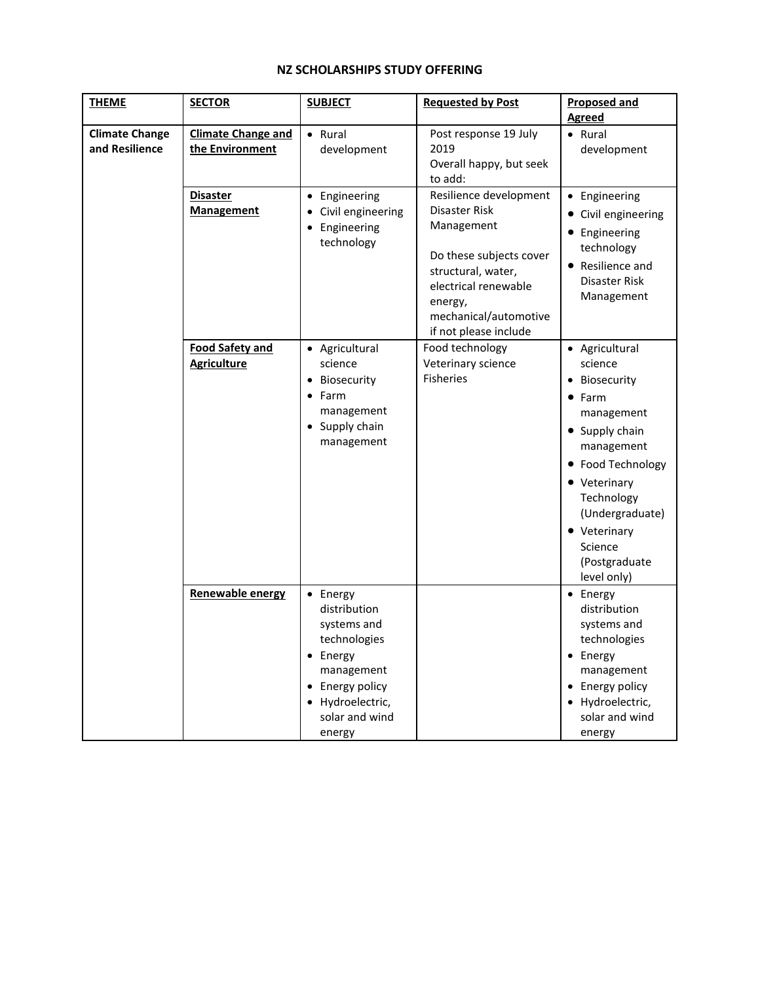## **NZ SCHOLARSHIPS STUDY OFFERING**

| <b>THEME</b>                            | <b>SECTOR</b>                                | <b>SUBJECT</b>                                                                                                                                       | <b>Requested by Post</b>                                                                                                                                                                    | <b>Proposed and</b><br><b>Agreed</b>                                                                                                                                                                                                |
|-----------------------------------------|----------------------------------------------|------------------------------------------------------------------------------------------------------------------------------------------------------|---------------------------------------------------------------------------------------------------------------------------------------------------------------------------------------------|-------------------------------------------------------------------------------------------------------------------------------------------------------------------------------------------------------------------------------------|
| <b>Climate Change</b><br>and Resilience | <b>Climate Change and</b><br>the Environment | • Rural<br>development                                                                                                                               | Post response 19 July<br>2019<br>Overall happy, but seek<br>to add:                                                                                                                         | • Rural<br>development                                                                                                                                                                                                              |
|                                         | Disaster<br><b>Management</b>                | • Engineering<br>Civil engineering<br>• Engineering<br>technology                                                                                    | Resilience development<br>Disaster Risk<br>Management<br>Do these subjects cover<br>structural, water,<br>electrical renewable<br>energy,<br>mechanical/automotive<br>if not please include | • Engineering<br>• Civil engineering<br>• Engineering<br>technology<br>• Resilience and<br>Disaster Risk<br>Management                                                                                                              |
|                                         | <b>Food Safety and</b><br><b>Agriculture</b> | • Agricultural<br>science<br>Biosecurity<br>• Farm<br>management<br>• Supply chain<br>management                                                     | Food technology<br>Veterinary science<br><b>Fisheries</b>                                                                                                                                   | • Agricultural<br>science<br>• Biosecurity<br>• Farm<br>management<br>• Supply chain<br>management<br>• Food Technology<br>• Veterinary<br>Technology<br>(Undergraduate)<br>• Veterinary<br>Science<br>(Postgraduate<br>level only) |
|                                         | Renewable energy                             | • Energy<br>distribution<br>systems and<br>technologies<br>• Energy<br>management<br>• Energy policy<br>• Hydroelectric,<br>solar and wind<br>energy |                                                                                                                                                                                             | • Energy<br>distribution<br>systems and<br>technologies<br>• Energy<br>management<br>• Energy policy<br>• Hydroelectric,<br>solar and wind<br>energy                                                                                |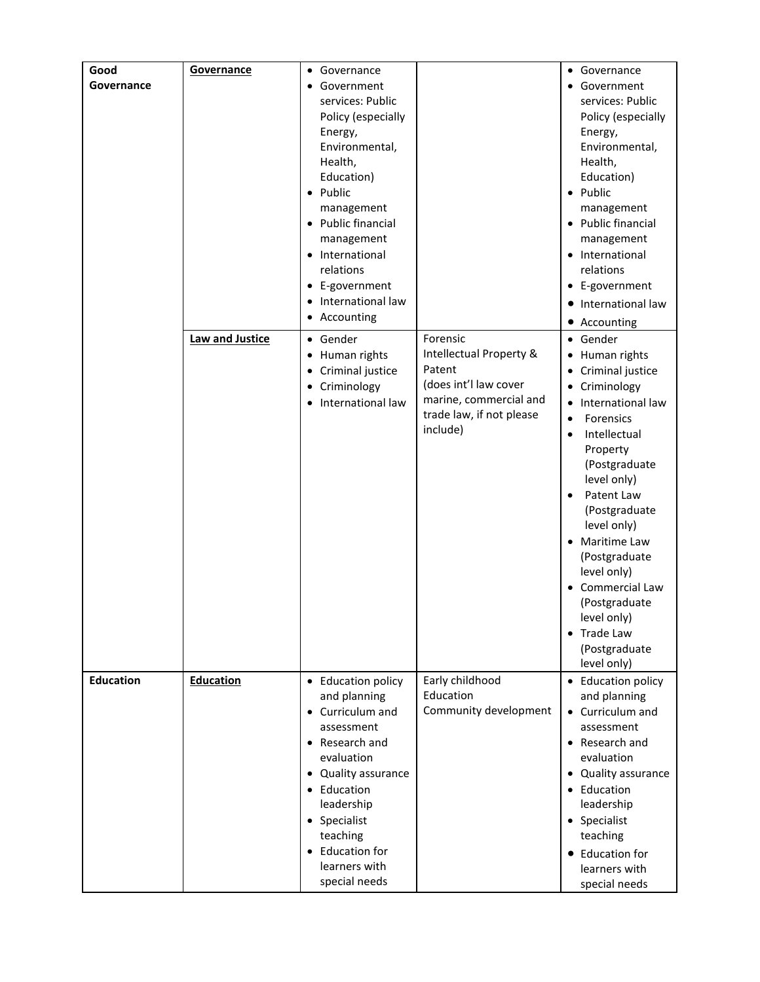| Good<br>Governance | Governance       | • Governance<br>• Government<br>services: Public<br>Policy (especially<br>Energy,<br>Environmental,<br>Health,<br>Education)<br>• Public<br>management<br>• Public financial<br>management<br>• International<br>relations<br>• E-government<br>• International law<br>• Accounting |                                                                                                                                          | • Governance<br>• Government<br>services: Public<br>Policy (especially<br>Energy,<br>Environmental,<br>Health,<br>Education)<br>• Public<br>management<br>• Public financial<br>management<br>• International<br>relations<br>• E-government<br>• International law                                                                                                                                         |
|--------------------|------------------|-------------------------------------------------------------------------------------------------------------------------------------------------------------------------------------------------------------------------------------------------------------------------------------|------------------------------------------------------------------------------------------------------------------------------------------|-------------------------------------------------------------------------------------------------------------------------------------------------------------------------------------------------------------------------------------------------------------------------------------------------------------------------------------------------------------------------------------------------------------|
|                    | Law and Justice  | • Gender<br>• Human rights<br>• Criminal justice<br>• Criminology<br>International law                                                                                                                                                                                              | Forensic<br>Intellectual Property &<br>Patent<br>(does int'l law cover<br>marine, commercial and<br>trade law, if not please<br>include) | • Accounting<br>• Gender<br>• Human rights<br>Criminal justice<br>٠<br>Criminology<br>International law<br>Forensics<br>$\bullet$<br>Intellectual<br>$\bullet$<br>Property<br>(Postgraduate<br>level only)<br>Patent Law<br>(Postgraduate<br>level only)<br>• Maritime Law<br>(Postgraduate<br>level only)<br>Commercial Law<br>(Postgraduate<br>level only)<br>• Trade Law<br>(Postgraduate<br>level only) |
| <b>Education</b>   | <b>Education</b> | • Education policy<br>and planning<br>• Curriculum and<br>assessment<br>• Research and<br>evaluation<br>Quality assurance<br>$\bullet$<br>• Education<br>leadership<br>• Specialist<br>teaching<br>• Education for<br>learners with<br>special needs                                | Early childhood<br>Education<br>Community development                                                                                    | • Education policy<br>and planning<br>• Curriculum and<br>assessment<br>• Research and<br>evaluation<br>Quality assurance<br>Education<br>$\bullet$<br>leadership<br>• Specialist<br>teaching<br>• Education for<br>learners with<br>special needs                                                                                                                                                          |